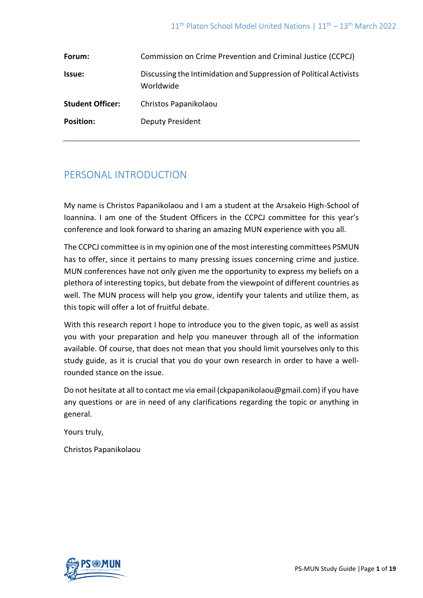| Forum:                  | Commission on Crime Prevention and Criminal Justice (CCPCJ)                     |
|-------------------------|---------------------------------------------------------------------------------|
| <b>Issue:</b>           | Discussing the Intimidation and Suppression of Political Activists<br>Worldwide |
| <b>Student Officer:</b> | Christos Papanikolaou                                                           |
| <b>Position:</b>        | <b>Deputy President</b>                                                         |

## PERSONAL INTRODUCTION

My name is Christos Papanikolaou and I am a student at the Arsakeio High-School of Ioannina. I am one of the Student Officers in the CCPCJ committee for this year's conference and look forward to sharing an amazing MUN experience with you all.

The CCPCJ committee is in my opinion one of the most interesting committees PSMUN has to offer, since it pertains to many pressing issues concerning crime and justice. MUN conferences have not only given me the opportunity to express my beliefs on a plethora of interesting topics, but debate from the viewpoint of different countries as well. The MUN process will help you grow, identify your talents and utilize them, as this topic will offer a lot of fruitful debate.

With this research report I hope to introduce you to the given topic, as well as assist you with your preparation and help you maneuver through all of the information available. Of course, that does not mean that you should limit yourselves only to this study guide, as it is crucial that you do your own research in order to have a wellrounded stance on the issue.

Do not hesitate at all to contact me via email (ckpapanikolaou@gmail.com) if you have any questions or are in need of any clarifications regarding the topic or anything in general.

Yours truly,

Christos Papanikolaou

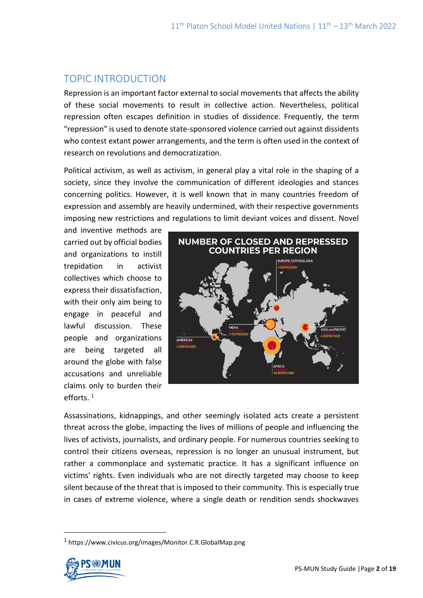# TOPIC INTRODUCTION

Repression is an important factor external to social movements that affects the ability of these social movements to result in collective action. Nevertheless, political repression often escapes definition in studies of dissidence. Frequently, the term "repression" is used to denote state-sponsored violence carried out against dissidents who contest extant power arrangements, and the term is often used in the context of research on revolutions and democratization.

Political activism, as well as activism, in general play a vital role in the shaping of a society, since they involve the communication of different ideologies and stances concerning politics. However, it is well known that in many countries freedom of expression and assembly are heavily undermined, with their respective governments imposing new restrictions and regulations to limit deviant voices and dissent. Novel

and inventive methods are carried out by official bodies and organizations to instill trepidation in activist collectives which choose to express their dissatisfaction, with their only aim being to engage in peaceful and lawful discussion. These people and organizations are being targeted all around the globe with false accusations and unreliable claims only to burden their efforts. <sup>1</sup>



Assassinations, kidnappings, and other seemingly isolated acts create a persistent threat across the globe, impacting the lives of millions of people and influencing the lives of activists, journalists, and ordinary people. For numerous countries seeking to control their citizens overseas, repression is no longer an unusual instrument, but rather a commonplace and systematic practice. It has a significant influence on victims' rights. Even individuals who are not directly targeted may choose to keep silent because of the threat that is imposed to their community. This is especially true in cases of extreme violence, where a single death or rendition sends shockwaves

<sup>1</sup> https://www.civicus.org/images/Monitor.C.R.GlobalMap.png

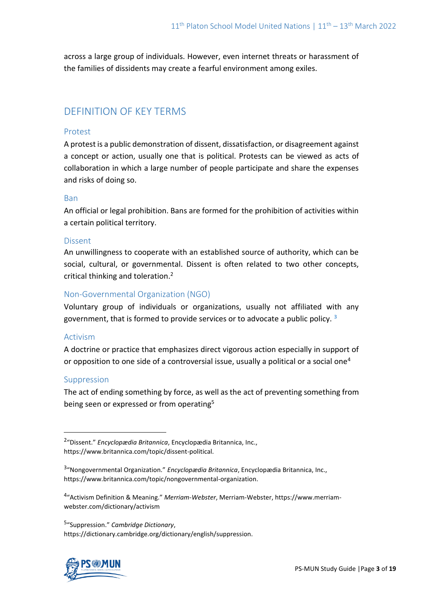across a large group of individuals. However, even internet threats or harassment of the families of dissidents may create a fearful environment among exiles.

## DEFINITION OF KEY TERMS

### Protest

A protest is a public demonstration of dissent, dissatisfaction, or disagreement against a concept or action, usually one that is political. Protests can be viewed as acts of collaboration in which a large number of people participate and share the expenses and risks of doing so.

### Ban

An official or legal prohibition. Bans are formed for the prohibition of activities within a certain political territory.

### Dissent

An unwillingness to cooperate with an established source of authority, which can be social, cultural, or governmental. Dissent is often related to two other concepts, critical thinking and toleration.<sup>2</sup>

### Non-Governmental Organization (NGO)

Voluntary group of individuals or organizations, usually not affiliated with any government, that is formed to provide services or to advocate a public policy. **<sup>3</sup>**

### Activism

A doctrine or practice that emphasizes direct vigorous action especially in support of or opposition to one side of a controversial issue, usually a political or a social one<sup>4</sup>

### Suppression

The act of ending something by force, as well as the [act](https://dictionary.cambridge.org/dictionary/english/act) o[f](https://dictionary.cambridge.org/dictionary/english/prevent) [preventing](https://dictionary.cambridge.org/dictionary/english/prevent) something from being seen or expressed or from operating<sup>5</sup>

5 "Suppression." *Cambridge Dictionary*, https://dictionary.cambridge.org/dictionary/english/suppression.



<sup>2</sup> "Dissent." *Encyclopædia Britannica*, Encyclopædia Britannica, Inc., https://www.britannica.com/topic/dissent-political.

<sup>3</sup> "Nongovernmental Organization." *Encyclopædia Britannica*, Encyclopædia Britannica, Inc., https://www.britannica.com/topic/nongovernmental-organization.

<sup>4</sup> "Activism Definition & Meaning." *Merriam-Webster*, Merriam-Webster, https://www.merriamwebster.com/dictionary/activism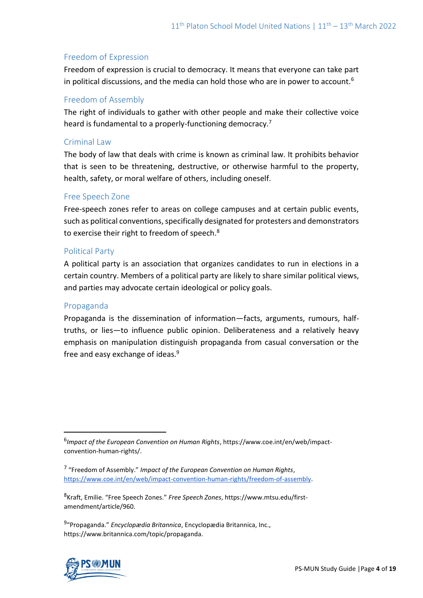### Freedom of Expression

Freedom of expression is crucial to democracy. It means that everyone can take part in political discussions, and the media can hold those who are in power to account.<sup>6</sup>

### Freedom of Assembly

The right of individuals to gather with other people and make their collective voice heard is fundamental to a properly-functioning democracy.<sup>7</sup>

### Criminal Law

The body of law that deals with crime is known as criminal law. It prohibits behavior that is seen to be threatening, destructive, or otherwise harmful to the property, health, safety, or moral welfare of others, including oneself.

### Free Speech Zone

Free-speech zones refer to areas on college campuses and at certain public events, such as political conventions, specifically designated for protesters and demonstrators to exercise their right to freedom of speech.<sup>8</sup>

### Political Party

A political party is an association that organizes candidates to run in elections in a certain country. Members of a political party are likely to share similar political views, and parties may advocate certain ideological or policy goals.

### Propaganda

Propaganda is the dissemination of information—facts, arguments, rumours, halftruths, or lies—to influence [public opinion.](https://www.britannica.com/topic/public-opinion) Deliberateness and a relatively heavy emphasis on manipulation distinguish propaganda from casual conversation or the free and easy exchange of ideas.<sup>9</sup>

<sup>9</sup> "Propaganda." *Encyclopædia Britannica*, Encyclopædia Britannica, Inc., https://www.britannica.com/topic/propaganda.



<sup>6</sup> *Impact of the European Convention on Human Rights*, https://www.coe.int/en/web/impactconvention-human-rights/.

<sup>7</sup> "Freedom of Assembly." *Impact of the European Convention on Human Rights*, [https://www.coe.int/en/web/impact-convention-human-rights/freedom-of-assembly.](https://www.coe.int/en/web/impact-convention-human-rights/freedom-of-assembly)

<sup>8</sup> Kraft, Emilie. "Free Speech Zones." *Free Speech Zones*, https://www.mtsu.edu/firstamendment/article/960.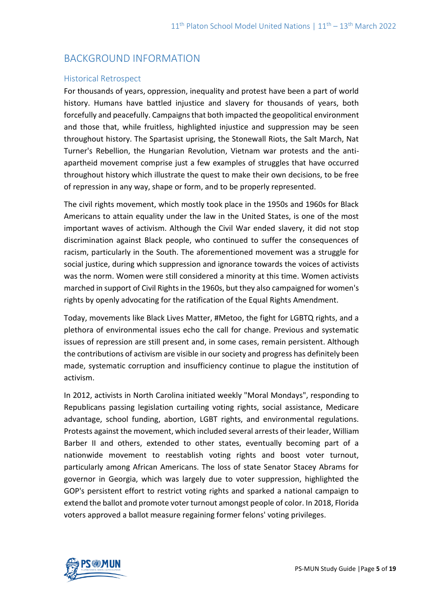## BACKGROUND INFORMATION

### Historical Retrospect

For thousands of years, oppression, inequality and protest have been a part of world history. Humans have battled injustice and slavery for thousands of years, both forcefully and peacefully. Campaigns that both impacted the geopolitical environment and those that, while fruitless, highlighted injustice and suppression may be seen throughout history. The Spartasist uprising, the Stonewall Riots, the Salt March, Nat Turner's Rebellion, the Hungarian Revolution, Vietnam war protests and the antiapartheid movement comprise just a few examples of struggles that have occurred throughout history which illustrate the quest to make their own decisions, to be free of repression in any way, shape or form, and to be properly represented.

The civil rights movement, which mostly took place in the 1950s and 1960s for Black Americans to attain equality under the law in the United States, is one of the most important waves of activism. Although the Civil War ended slavery, it did not stop discrimination against Black people, who continued to suffer the consequences of racism, particularly in the South. The aforementioned movement was a struggle for social justice, during which suppression and ignorance towards the voices of activists was the norm. Women were still considered a minority at this time. Women activists marched in support of Civil Rights in the 1960s, but they also campaigned for women's rights by openly advocating for the ratification of the Equal Rights Amendment.

Today, movements like Black Lives Matter, #Metoo, the fight for LGBTQ rights, and a plethora of environmental issues echo the call for change. Previous and systematic issues of repression are still present and, in some cases, remain persistent. Although the contributions of activism are visible in our society and progress has definitely been made, systematic corruption and insufficiency continue to plague the institution of activism.

In 2012, activists in North Carolina initiated weekly "Moral Mondays", responding to Republicans passing legislation curtailing voting rights, social assistance, Medicare advantage, school funding, abortion, LGBT rights, and environmental regulations. Protests against the movement, which included several arrests of their leader, William Barber II and others, extended to other states, eventually becoming part of a nationwide movement to reestablish voting rights and boost voter turnout, particularly among African Americans. The loss of state Senator Stacey Abrams for governor in Georgia, which was largely due to voter suppression, highlighted the GOP's persistent effort to restrict voting rights and sparked a national campaign to extend the ballot and promote voter turnout amongst people of color. In 2018, Florida voters approved a ballot measure regaining former felons' voting privileges.

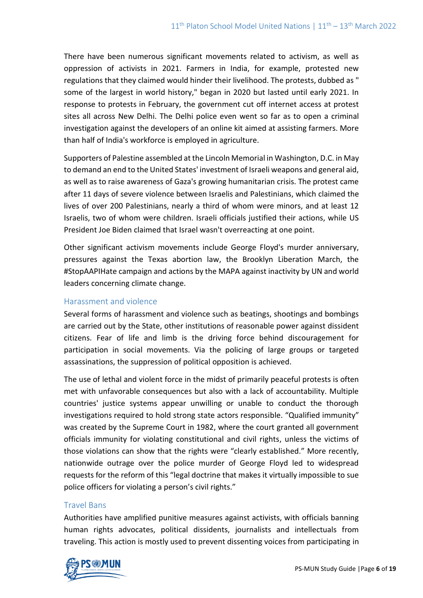There have been numerous significant movements related to activism, as well as oppression of activists in 2021. Farmers in India, for example, protested new regulations that they claimed would hinder their livelihood. The protests, dubbed as " some of the largest in world history," began in 2020 but lasted until early 2021. In response to protests in February, the government cut off internet access at protest sites all across New Delhi. The Delhi police even went so far as to open a criminal investigation against the developers of an online kit aimed at assisting farmers. More than half of India's workforce is employed in agriculture.

Supporters of Palestine assembled at the Lincoln Memorial in Washington, D.C. in May to demand an end to the United States' investment of Israeli weapons and general aid, as well as to raise awareness of Gaza's growing humanitarian crisis. The protest came after 11 days of severe violence between Israelis and Palestinians, which claimed the lives of over 200 Palestinians, nearly a third of whom were minors, and at least 12 Israelis, two of whom were children. Israeli officials justified their actions, while US President Joe Biden claimed that Israel wasn't overreacting at one point.

Other significant activism movements include George Floyd's murder anniversary, pressures against the Texas abortion law, the Brooklyn Liberation March, the #StopAAPIHate campaign and actions by the MAPA against inactivity by UN and world leaders concerning climate change.

### Harassment and violence

Several forms of harassment and violence such as beatings, shootings and bombings are carried out by the State, other institutions of reasonable power against dissident citizens. Fear of life and limb is the driving force behind discouragement for participation in social movements. Via the policing of large groups or targeted assassinations, the suppression of political opposition is achieved.

The use of lethal and violent force in the midst of primarily peaceful protests is often met with unfavorable consequences but also with a lack of accountability. Multiple countries' justice systems appear unwilling or unable to conduct the thorough investigations required to hold strong state actors responsible. "Qualified immunity" was created by the Supreme Court in 1982, where the court granted all government officials immunity for violating constitutional and civil rights, unless the victims of those violations can show that the rights were "clearly established." More recently, nationwide outrage over the police murder of George Floyd led to widespread requests for the reform of this "legal doctrine that makes it virtually impossible to sue police officers for violating a person's civil rights."

### Travel Bans

Authorities have amplified punitive measures against activists, with officials banning human rights advocates, political dissidents, journalists and intellectuals from traveling. This action is mostly used to prevent dissenting voices from participating in

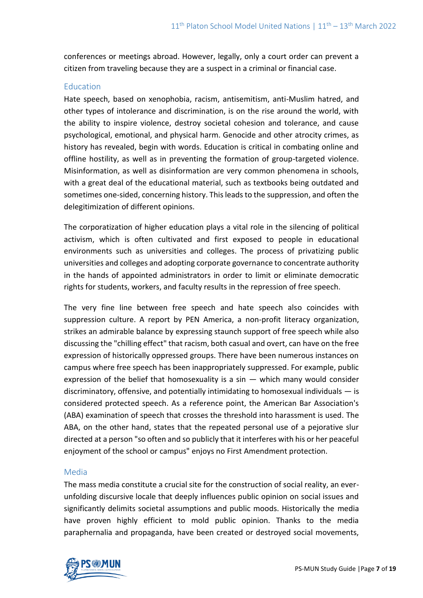conferences or meetings abroad. However, legally, only a court order can prevent a citizen from traveling because they are a suspect in a criminal or financial case.

### Education

Hate speech, based on xenophobia, racism, antisemitism, anti-Muslim hatred, and other types of intolerance and discrimination, is on the rise around the world, with the ability to inspire violence, destroy societal cohesion and tolerance, and cause psychological, emotional, and physical harm. Genocide and other atrocity crimes, as history has revealed, begin with words. Education is critical in combating online and offline hostility, as well as in preventing the formation of group-targeted violence. Misinformation, as well as disinformation are very common phenomena in schools, with a great deal of the educational material, such as textbooks being outdated and sometimes one-sided, concerning history. This leads to the suppression, and often the delegitimization of different opinions.

The corporatization of higher education plays a vital role in the silencing of political activism, which is often cultivated and first exposed to people in educational environments such as universities and colleges. The process of privatizing public universities and colleges and adopting corporate governance to concentrate authority in the hands of appointed administrators in order to limit or eliminate democratic rights for students, workers, and faculty results in the repression of free speech.

The very fine line between free speech and hate speech also coincides with suppression culture. A report by PEN America, a non-profit literacy organization, strikes an admirable balance by expressing staunch support of free speech while also discussing the "chilling effect" that racism, both casual and overt, can have on the free expression of historically oppressed groups. There have been numerous instances on campus where free speech has been inappropriately suppressed. For example, public expression of the belief that homosexuality is a sin — which many would consider discriminatory, offensive, and potentially intimidating to homosexual individuals — is considered protected speech. As a reference point, the American Bar Association's (ABA) examination of speech that crosses the threshold into harassment is used. The ABA, on the other hand, states that the repeated personal use of a pejorative slur directed at a person "so often and so publicly that it interferes with his or her peaceful enjoyment of the school or campus" enjoys no First Amendment protection.

### Media

The mass media constitute a crucial site for the construction of social reality, an everunfolding discursive locale that deeply influences public opinion on social issues and significantly delimits societal assumptions and public moods. Historically the media have proven highly efficient to mold public opinion. Thanks to the media paraphernalia and propaganda, have been created or destroyed social movements,

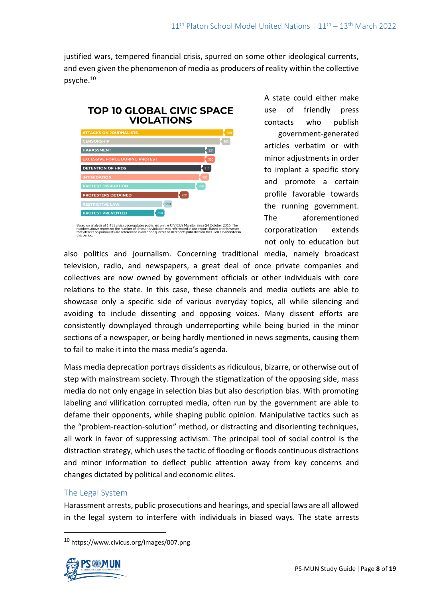justified wars, tempered financial crisis, spurred on some other ideological currents, and even given the phenomenon of media as producers of reality within the collective psyche.<sup>10</sup>



Based on analysis of 1,433 civic space updates published on the CIVICUS Monitor since 24 October 2016. The<br>numbers above represent the number of times this violation was referenced in one report. Based on this we see<br>this

A state could either make use of friendly press contacts who publish government-generated articles verbatim or with minor adjustments in order to implant a specific story and promote a certain profile favorable towards the running government. The aforementioned corporatization extends not only to education but

also politics and journalism. Concerning traditional media, namely broadcast television, radio, and newspapers, a great deal of once private companies and collectives are now owned by government officials or other individuals with core relations to the state. In this case, these channels and media outlets are able to showcase only a specific side of various everyday topics, all while silencing and avoiding to include dissenting and opposing voices. Many dissent efforts are consistently downplayed through underreporting while being buried in the minor sections of a newspaper, or being hardly mentioned in news segments, causing them to fail to make it into the mass media's agenda.

Mass media deprecation portrays dissidents as ridiculous, bizarre, or otherwise out of step with mainstream society. Through the stigmatization of the opposing side, mass media do not only engage in selection bias but also description bias. With promoting labeling and vilification corrupted media, often run by the government are able to defame their opponents, while shaping public opinion. Manipulative tactics such as the "problem-reaction-solution" method, or distracting and disorienting techniques, all work in favor of suppressing activism. The principal tool of social control is the distraction strategy, which uses the tactic of flooding or floods continuous distractions and minor information to deflect public attention away from key concerns and changes dictated by political and economic elites.

### The Legal System

Harassment arrests, public prosecutions and hearings, and special laws are all allowed in the legal system to interfere with individuals in biased ways. The state arrests

<sup>10</sup> https://www.civicus.org/images/007.png

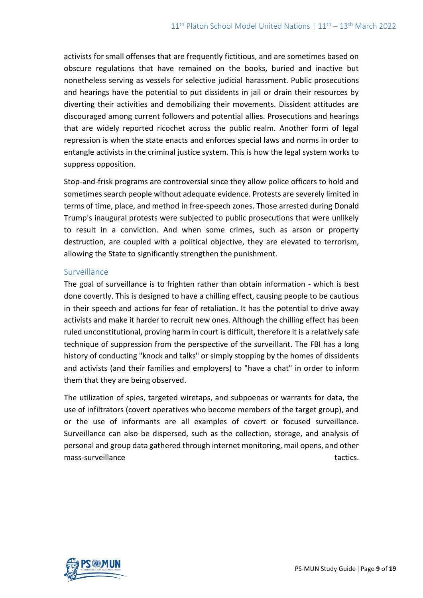activists for small offenses that are frequently fictitious, and are sometimes based on obscure regulations that have remained on the books, buried and inactive but nonetheless serving as vessels for selective judicial harassment. Public prosecutions and hearings have the potential to put dissidents in jail or drain their resources by diverting their activities and demobilizing their movements. Dissident attitudes are discouraged among current followers and potential allies. Prosecutions and hearings that are widely reported ricochet across the public realm. Another form of legal repression is when the state enacts and enforces special laws and norms in order to entangle activists in the criminal justice system. This is how the legal system works to suppress opposition.

Stop-and-frisk programs are controversial since they allow police officers to hold and sometimes search people without adequate evidence. Protests are severely limited in terms of time, place, and method in free-speech zones. Those arrested during Donald Trump's inaugural protests were subjected to public prosecutions that were unlikely to result in a conviction. And when some crimes, such as arson or property destruction, are coupled with a political objective, they are elevated to terrorism, allowing the State to significantly strengthen the punishment.

### Surveillance

The goal of surveillance is to frighten rather than obtain information - which is best done covertly. This is designed to have a chilling effect, causing people to be cautious in their speech and actions for fear of retaliation. It has the potential to drive away activists and make it harder to recruit new ones. Although the chilling effect has been ruled unconstitutional, proving harm in court is difficult, therefore it is a relatively safe technique of suppression from the perspective of the surveillant. The FBI has a long history of conducting "knock and talks" or simply stopping by the homes of dissidents and activists (and their families and employers) to "have a chat" in order to inform them that they are being observed.

The utilization of spies, targeted wiretaps, and subpoenas or warrants for data, the use of infiltrators (covert operatives who become members of the target group), and or the use of informants are all examples of covert or focused surveillance. Surveillance can also be dispersed, such as the collection, storage, and analysis of personal and group data gathered through internet monitoring, mail opens, and other mass-surveillance tactics.

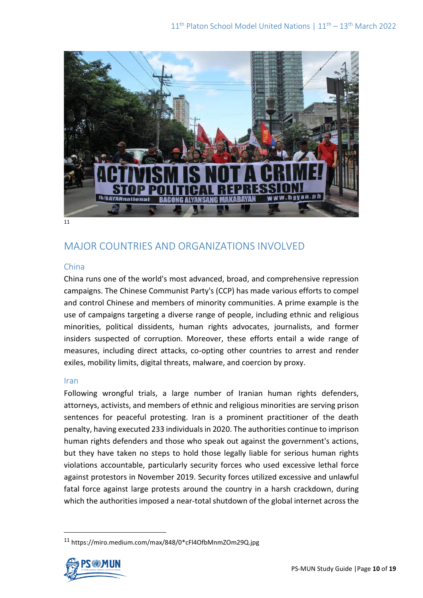

11

# MAJOR COUNTRIES AND ORGANIZATIONS INVOLVED

### China

China runs one of the world's most advanced, broad, and comprehensive repression campaigns. The Chinese Communist Party's (CCP) has made various efforts to compel and control Chinese and members of minority communities. A prime example is the use of campaigns targeting a diverse range of people, including ethnic and religious minorities, political dissidents, human rights advocates, journalists, and former insiders suspected of corruption. Moreover, these efforts entail a wide range of measures, including direct attacks, co-opting other countries to arrest and render exiles, mobility limits, digital threats, malware, and coercion by proxy.

### Iran

Following wrongful trials, a large number of Iranian human rights defenders, attorneys, activists, and members of ethnic and religious minorities are serving prison sentences for peaceful protesting. Iran is a prominent practitioner of the death penalty, having executed 233 individuals in 2020. The authorities continue to imprison human rights defenders and those who speak out against the government's actions, but they have taken no steps to hold those legally liable for serious human rights violations accountable, particularly security forces who used excessive lethal force against protestors in November 2019. Security forces utilized excessive and unlawful fatal force against large protests around the country in a harsh crackdown, during which the authorities imposed a near-total shutdown of the global internet across the

<sup>11</sup> https://miro.medium.com/max/848/0\*cFl4OfbMnmZOm29Q.jpg

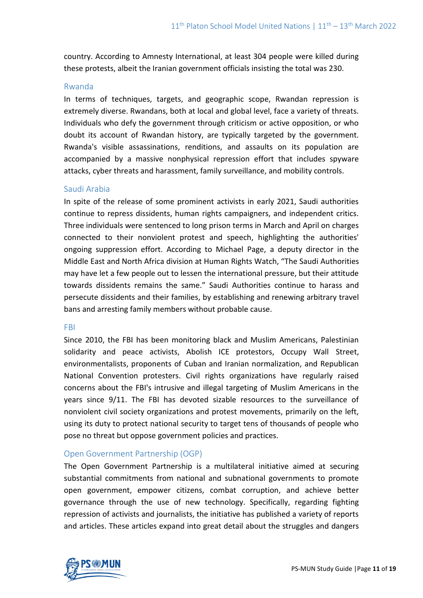country. According to Amnesty International, at least 304 people were killed during these protests, albeit the Iranian government officials insisting the total was 230.

### Rwanda

In terms of techniques, targets, and geographic scope, Rwandan repression is extremely diverse. Rwandans, both at local and global level, face a variety of threats. Individuals who defy the government through criticism or active opposition, or who doubt its account of Rwandan history, are typically targeted by the government. Rwanda's visible assassinations, renditions, and assaults on its population are accompanied by a massive nonphysical repression effort that includes spyware attacks, cyber threats and harassment, family surveillance, and mobility controls.

### Saudi Arabia

In spite of the release of some prominent activists in early 2021, Saudi authorities continue to repress dissidents, human rights campaigners, and independent critics. Three individuals were sentenced to long prison terms in March and April on charges connected to their nonviolent protest and speech, highlighting the authorities' ongoing suppression effort. According to Michael Page, a deputy director in the Middle East and North Africa division at Human Rights Watch, "The Saudi Authorities may have let a few people out to lessen the international pressure, but their attitude towards dissidents remains the same." Saudi Authorities continue to harass and persecute dissidents and their families, by establishing and renewing arbitrary travel bans and arresting family members without probable cause.

#### FBI

Since 2010, the FBI has been monitoring black and Muslim Americans, Palestinian solidarity and peace activists, Abolish ICE protestors, Occupy Wall Street, environmentalists, proponents of Cuban and Iranian normalization, and Republican National Convention protesters. Civil rights organizations have regularly raised concerns about the FBI's intrusive and illegal targeting of Muslim Americans in the years since 9/11. The FBI has devoted sizable resources to the surveillance of nonviolent civil society organizations and protest movements, primarily on the left, using its duty to protect national security to target tens of thousands of people who pose no threat but oppose government policies and practices.

### Open Government Partnership (OGP)

The Open Government Partnership is a multilateral initiative aimed at securing substantial commitments from national and subnational governments to promote open government, empower citizens, combat corruption, and achieve better governance through the use of new technology. Specifically, regarding fighting repression of activists and journalists, the initiative has published a variety of reports and articles. These articles expand into great detail about the struggles and dangers

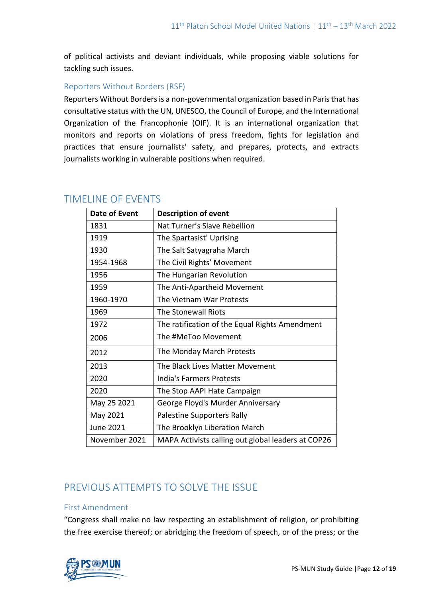of political activists and deviant individuals, while proposing viable solutions for tackling such issues.

### Reporters Without Borders (RSF)

Reporters Without Borders is a non-governmental organization based in Paris that has consultative status with the UN, UNESCO, the Council of Europe, and the International Organization of the Francophonie (OIF). It is an international organization that monitors and reports on violations of press freedom, fights for legislation and practices that ensure journalists' safety, and prepares, protects, and extracts journalists working in vulnerable positions when required.

| Date of Event | <b>Description of event</b>                        |
|---------------|----------------------------------------------------|
| 1831          | Nat Turner's Slave Rebellion                       |
| 1919          | The Spartasist' Uprising                           |
| 1930          | The Salt Satyagraha March                          |
| 1954-1968     | The Civil Rights' Movement                         |
| 1956          | The Hungarian Revolution                           |
| 1959          | The Anti-Apartheid Movement                        |
| 1960-1970     | The Vietnam War Protests                           |
| 1969          | The Stonewall Riots                                |
| 1972          | The ratification of the Equal Rights Amendment     |
| 2006          | The #MeToo Movement                                |
| 2012          | The Monday March Protests                          |
| 2013          | The Black Lives Matter Movement                    |
| 2020          | India's Farmers Protests                           |
| 2020          | The Stop AAPI Hate Campaign                        |
| May 25 2021   | George Floyd's Murder Anniversary                  |
| May 2021      | Palestine Supporters Rally                         |
| June 2021     | The Brooklyn Liberation March                      |
| November 2021 | MAPA Activists calling out global leaders at COP26 |

### TIMELINE OF EVENTS

# PREVIOUS ATTEMPTS TO SOLVE THE ISSUE

### First Amendment

"Congress shall make no law respecting an establishment of religion, or prohibiting the free exercise thereof; or abridging the freedom of speech, or of the press; or the

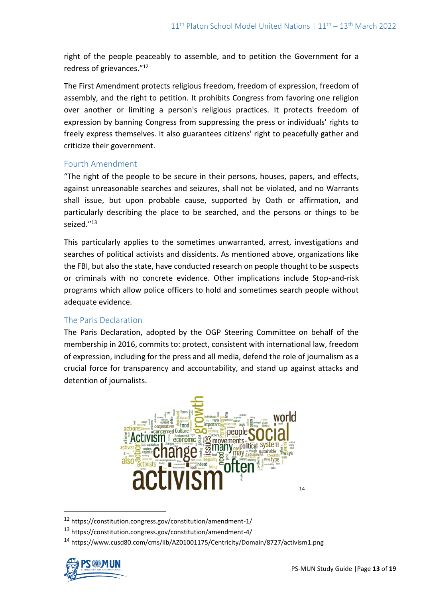right of the people peaceably to assemble, and to petition the Government for a redress of grievances."<sup>12</sup>

The First Amendment protects religious freedom, freedom of expression, freedom of assembly, and the right to petition. It prohibits Congress from favoring one religion over another or limiting a person's religious practices. It protects freedom of expression by banning Congress from suppressing the press or individuals' rights to freely express themselves. It also guarantees citizens' right to peacefully gather and criticize their government.

### Fourth Amendment

"The right of the people to be secure in their persons, houses, papers, and effects, against unreasonable searches and seizures, shall not be violated, and no Warrants shall issue, but upon probable cause, supported by Oath or affirmation, and particularly describing the place to be searched, and the persons or things to be seized."<sup>13</sup>

This particularly applies to the sometimes unwarranted, arrest, investigations and searches of political activists and dissidents. As mentioned above, organizations like the FBI, but also the state, have conducted research on people thought to be suspects or criminals with no concrete evidence. Other implications include Stop-and-risk programs which allow police officers to hold and sometimes search people without adequate evidence.

### The Paris Declaration

The Paris Declaration, adopted by the OGP Steering Committee on behalf of the membership in 2016, commits to: protect, consistent with international law, freedom of expression, including for the press and all media, defend the role of journalism as a crucial force for transparency and accountability, and stand up against attacks and detention of journalists.



<sup>12</sup> https://constitution.congress.gov/constitution/amendment-1/

<sup>14</sup> https://www.cusd80.com/cms/lib/AZ01001175/Centricity/Domain/8727/activism1.png



<sup>13</sup> https://constitution.congress.gov/constitution/amendment-4/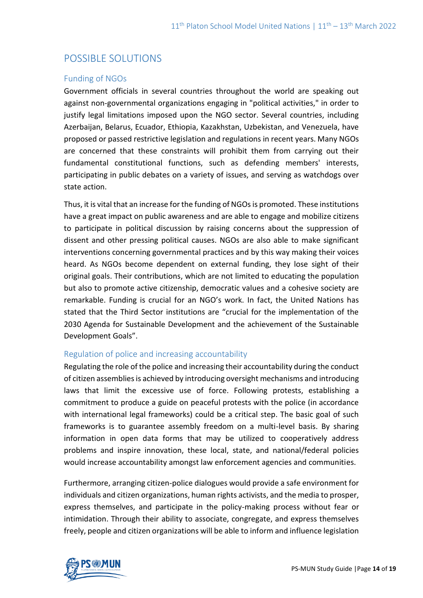## POSSIBLE SOLUTIONS

### Funding of NGOs

Government officials in several countries throughout the world are speaking out against non-governmental organizations engaging in "political activities," in order to justify legal limitations imposed upon the NGO sector. Several countries, including Azerbaijan, Belarus, Ecuador, Ethiopia, Kazakhstan, Uzbekistan, and Venezuela, have proposed or passed restrictive legislation and regulations in recent years. Many NGOs are concerned that these constraints will prohibit them from carrying out their fundamental constitutional functions, such as defending members' interests, participating in public debates on a variety of issues, and serving as watchdogs over state action.

Thus, it is vital that an increase for the funding of NGOs is promoted. These institutions have a great impact on public awareness and are able to engage and mobilize citizens to participate in political discussion by raising concerns about the suppression of dissent and other pressing political causes. NGOs are also able to make significant interventions concerning governmental practices and by this way making their voices heard. As NGOs become dependent on external funding, they lose sight of their original goals. Their contributions, which are not limited to educating the population but also to promote active citizenship, democratic values and a cohesive society are remarkable. Funding is crucial for an NGO's work. In fact, the United Nations has stated that the Third Sector institutions are "crucial for the implementation of the 2030 Agenda for Sustainable Development and the achievement of the Sustainable Development Goals".

### Regulation of police and increasing accountability

Regulating the role of the police and increasing their accountability during the conduct of citizen assemblies is achieved by introducing oversight mechanisms and introducing laws that limit the excessive use of force. Following protests, establishing a commitment to produce a guide on peaceful protests with the police (in accordance with international legal frameworks) could be a critical step. The basic goal of such frameworks is to guarantee assembly freedom on a multi-level basis. By sharing information in open data forms that may be utilized to cooperatively address problems and inspire innovation, these local, state, and national/federal policies would increase accountability amongst law enforcement agencies and communities.

Furthermore, arranging citizen-police dialogues would provide a safe environment for individuals and citizen organizations, human rights activists, and the media to prosper, express themselves, and participate in the policy-making process without fear or intimidation. Through their ability to associate, congregate, and express themselves freely, people and citizen organizations will be able to inform and influence legislation

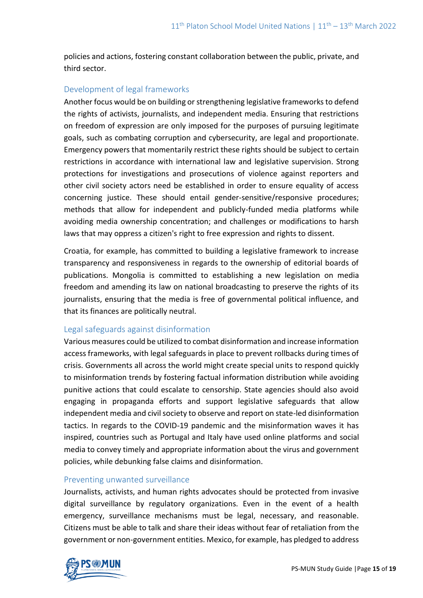policies and actions, fostering constant collaboration between the public, private, and third sector.

### Development of legal frameworks

Another focus would be on building or strengthening legislative frameworks to defend the rights of activists, journalists, and independent media. Ensuring that restrictions on freedom of expression are only imposed for the purposes of pursuing legitimate goals, such as combating corruption and cybersecurity, are legal and proportionate. Emergency powers that momentarily restrict these rights should be subject to certain restrictions in accordance with international law and legislative supervision. Strong protections for investigations and prosecutions of violence against reporters and other civil society actors need be established in order to ensure equality of access concerning justice. These should entail gender-sensitive/responsive procedures; methods that allow for independent and publicly-funded media platforms while avoiding media ownership concentration; and challenges or modifications to harsh laws that may oppress a citizen's right to free expression and rights to dissent.

Croatia, for example, has committed to building a legislative framework to increase transparency and responsiveness in regards to the ownership of editorial boards of publications. Mongolia is committed to establishing a new legislation on media freedom and amending its law on national broadcasting to preserve the rights of its journalists, ensuring that the media is free of governmental political influence, and that its finances are politically neutral.

### Legal safeguards against disinformation

Various measures could be utilized to combat disinformation and increase information access frameworks, with legal safeguards in place to prevent rollbacks during times of crisis. Governments all across the world might create special units to respond quickly to misinformation trends by fostering factual information distribution while avoiding punitive actions that could escalate to censorship. State agencies should also avoid engaging in propaganda efforts and support legislative safeguards that allow independent media and civil society to observe and report on state-led disinformation tactics. In regards to the COVID-19 pandemic and the misinformation waves it has inspired, countries such as Portugal and Italy have used online platforms and social media to convey timely and appropriate information about the virus and government policies, while debunking false claims and disinformation.

### Preventing unwanted surveillance

Journalists, activists, and human rights advocates should be protected from invasive digital surveillance by regulatory organizations. Even in the event of a health emergency, surveillance mechanisms must be legal, necessary, and reasonable. Citizens must be able to talk and share their ideas without fear of retaliation from the government or non-government entities. Mexico, for example, has pledged to address

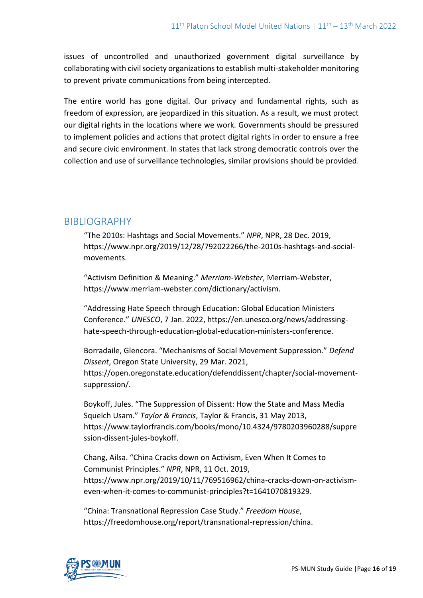issues of uncontrolled and unauthorized government digital surveillance by collaborating with civil society organizations to establish multi-stakeholder monitoring to prevent private communications from being intercepted.

The entire world has gone digital. Our privacy and fundamental rights, such as freedom of expression, are jeopardized in this situation. As a result, we must protect our digital rights in the locations where we work. Governments should be pressured to implement policies and actions that protect digital rights in order to ensure a free and secure civic environment. In states that lack strong democratic controls over the collection and use of surveillance technologies, similar provisions should be provided.

## BIBLIOGRAPHY

"The 2010s: Hashtags and Social Movements." *NPR*, NPR, 28 Dec. 2019, https://www.npr.org/2019/12/28/792022266/the-2010s-hashtags-and-socialmovements.

"Activism Definition & Meaning." *Merriam-Webster*, Merriam-Webster, https://www.merriam-webster.com/dictionary/activism.

"Addressing Hate Speech through Education: Global Education Ministers Conference." *UNESCO*, 7 Jan. 2022, https://en.unesco.org/news/addressinghate-speech-through-education-global-education-ministers-conference.

Borradaile, Glencora. "Mechanisms of Social Movement Suppression." *Defend Dissent*, Oregon State University, 29 Mar. 2021, https://open.oregonstate.education/defenddissent/chapter/social-movementsuppression/.

Boykoff, Jules. "The Suppression of Dissent: How the State and Mass Media Squelch Usam." *Taylor & Francis*, Taylor & Francis, 31 May 2013, https://www.taylorfrancis.com/books/mono/10.4324/9780203960288/suppre ssion-dissent-jules-boykoff.

Chang, Ailsa. "China Cracks down on Activism, Even When It Comes to Communist Principles." *NPR*, NPR, 11 Oct. 2019, https://www.npr.org/2019/10/11/769516962/china-cracks-down-on-activismeven-when-it-comes-to-communist-principles?t=1641070819329.

"China: Transnational Repression Case Study." *Freedom House*, https://freedomhouse.org/report/transnational-repression/china.

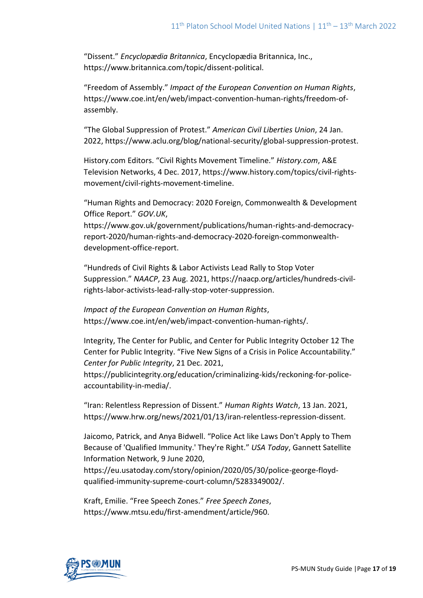"Dissent." *Encyclopædia Britannica*, Encyclopædia Britannica, Inc., https://www.britannica.com/topic/dissent-political.

"Freedom of Assembly." *Impact of the European Convention on Human Rights*, https://www.coe.int/en/web/impact-convention-human-rights/freedom-ofassembly.

"The Global Suppression of Protest." *American Civil Liberties Union*, 24 Jan. 2022, https://www.aclu.org/blog/national-security/global-suppression-protest.

History.com Editors. "Civil Rights Movement Timeline." *History.com*, A&E Television Networks, 4 Dec. 2017, https://www.history.com/topics/civil-rightsmovement/civil-rights-movement-timeline.

"Human Rights and Democracy: 2020 Foreign, Commonwealth & Development Office Report." *GOV.UK*, https://www.gov.uk/government/publications/human-rights-and-democracyreport-2020/human-rights-and-democracy-2020-foreign-commonwealth-

development-office-report.

"Hundreds of Civil Rights & Labor Activists Lead Rally to Stop Voter Suppression." *NAACP*, 23 Aug. 2021, https://naacp.org/articles/hundreds-civilrights-labor-activists-lead-rally-stop-voter-suppression.

*Impact of the European Convention on Human Rights*, https://www.coe.int/en/web/impact-convention-human-rights/.

Integrity, The Center for Public, and Center for Public Integrity October 12 The Center for Public Integrity. "Five New Signs of a Crisis in Police Accountability." *Center for Public Integrity*, 21 Dec. 2021,

https://publicintegrity.org/education/criminalizing-kids/reckoning-for-policeaccountability-in-media/.

"Iran: Relentless Repression of Dissent." *Human Rights Watch*, 13 Jan. 2021, https://www.hrw.org/news/2021/01/13/iran-relentless-repression-dissent.

Jaicomo, Patrick, and Anya Bidwell. "Police Act like Laws Don't Apply to Them Because of 'Qualified Immunity.' They're Right." *USA Today*, Gannett Satellite Information Network, 9 June 2020,

https://eu.usatoday.com/story/opinion/2020/05/30/police-george-floydqualified-immunity-supreme-court-column/5283349002/.

Kraft, Emilie. "Free Speech Zones." *Free Speech Zones*, https://www.mtsu.edu/first-amendment/article/960.

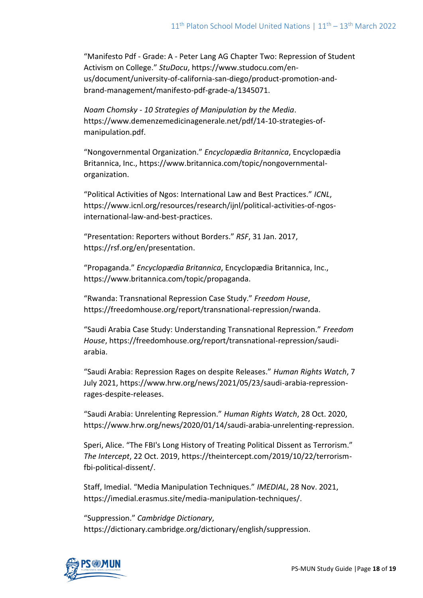"Manifesto Pdf - Grade: A - Peter Lang AG Chapter Two: Repression of Student Activism on College." *StuDocu*, https://www.studocu.com/enus/document/university-of-california-san-diego/product-promotion-andbrand-management/manifesto-pdf-grade-a/1345071.

*Noam Chomsky - 10 Strategies of Manipulation by the Media*. https://www.demenzemedicinagenerale.net/pdf/14-10-strategies-ofmanipulation.pdf.

"Nongovernmental Organization." *Encyclopædia Britannica*, Encyclopædia Britannica, Inc., https://www.britannica.com/topic/nongovernmentalorganization.

"Political Activities of Ngos: International Law and Best Practices." *ICNL*, https://www.icnl.org/resources/research/ijnl/political-activities-of-ngosinternational-law-and-best-practices.

"Presentation: Reporters without Borders." *RSF*, 31 Jan. 2017, https://rsf.org/en/presentation.

"Propaganda." *Encyclopædia Britannica*, Encyclopædia Britannica, Inc., https://www.britannica.com/topic/propaganda.

"Rwanda: Transnational Repression Case Study." *Freedom House*, https://freedomhouse.org/report/transnational-repression/rwanda.

"Saudi Arabia Case Study: Understanding Transnational Repression." *Freedom House*, https://freedomhouse.org/report/transnational-repression/saudiarabia.

"Saudi Arabia: Repression Rages on despite Releases." *Human Rights Watch*, 7 July 2021, https://www.hrw.org/news/2021/05/23/saudi-arabia-repressionrages-despite-releases.

"Saudi Arabia: Unrelenting Repression." *Human Rights Watch*, 28 Oct. 2020, https://www.hrw.org/news/2020/01/14/saudi-arabia-unrelenting-repression.

Speri, Alice. "The FBI's Long History of Treating Political Dissent as Terrorism." *The Intercept*, 22 Oct. 2019, https://theintercept.com/2019/10/22/terrorismfbi-political-dissent/.

Staff, Imedial. "Media Manipulation Techniques." *IMEDIAL*, 28 Nov. 2021, https://imedial.erasmus.site/media-manipulation-techniques/.

"Suppression." *Cambridge Dictionary*, https://dictionary.cambridge.org/dictionary/english/suppression.